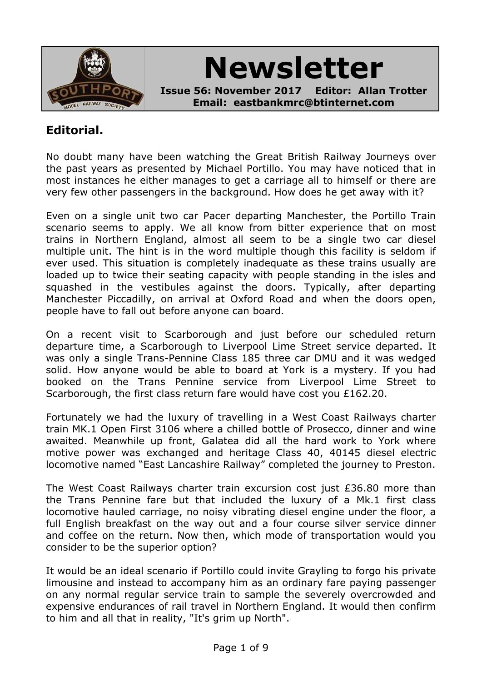

# **Newsletter**

**Issue 56: November 2017 Editor: Allan Trotter Email: eastbankmrc@btinternet.com**

# **Editorial.**

No doubt many have been watching the Great British Railway Journeys over the past years as presented by Michael Portillo. You may have noticed that in most instances he either manages to get a carriage all to himself or there are very few other passengers in the background. How does he get away with it?

Even on a single unit two car Pacer departing Manchester, the Portillo Train scenario seems to apply. We all know from bitter experience that on most trains in Northern England, almost all seem to be a single two car diesel multiple unit. The hint is in the word multiple though this facility is seldom if ever used. This situation is completely inadequate as these trains usually are loaded up to twice their seating capacity with people standing in the isles and squashed in the vestibules against the doors. Typically, after departing Manchester Piccadilly, on arrival at Oxford Road and when the doors open, people have to fall out before anyone can board.

On a recent visit to Scarborough and just before our scheduled return departure time, a Scarborough to Liverpool Lime Street service departed. It was only a single Trans-Pennine Class 185 three car DMU and it was wedged solid. How anyone would be able to board at York is a mystery. If you had booked on the Trans Pennine service from Liverpool Lime Street to Scarborough, the first class return fare would have cost you £162.20.

Fortunately we had the luxury of travelling in a West Coast Railways charter train MK.1 Open First 3106 where a chilled bottle of Prosecco, dinner and wine awaited. Meanwhile up front, Galatea did all the hard work to York where motive power was exchanged and heritage Class 40, 40145 diesel electric locomotive named "East Lancashire Railway" completed the journey to Preston.

The West Coast Railways charter train excursion cost just £36.80 more than the Trans Pennine fare but that included the luxury of a Mk.1 first class locomotive hauled carriage, no noisy vibrating diesel engine under the floor, a full English breakfast on the way out and a four course silver service dinner and coffee on the return. Now then, which mode of transportation would you consider to be the superior option?

It would be an ideal scenario if Portillo could invite Grayling to forgo his private limousine and instead to accompany him as an ordinary fare paying passenger on any normal regular service train to sample the severely overcrowded and expensive endurances of rail travel in Northern England. It would then confirm to him and all that in reality, "It's grim up North".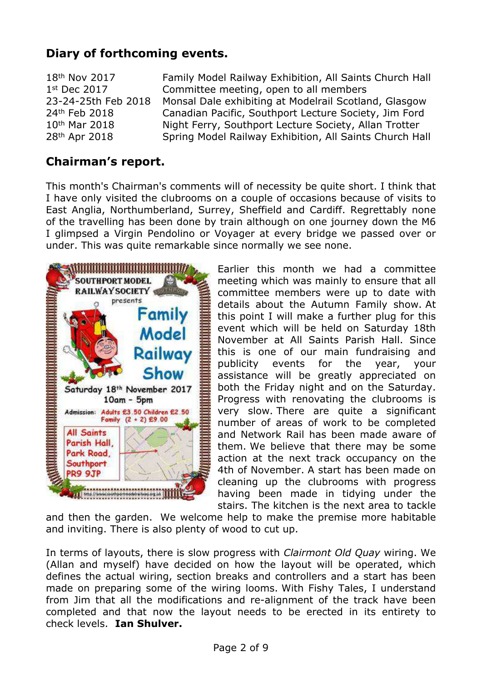# **Diary of forthcoming events.**

18<sup>th</sup> Nov 2017 **Family Model Railway Exhibition, All Saints Church Hall** 1<sup>st</sup> Dec 2017 Committee meeting, open to all members 23-24-25th Feb 2018 Monsal Dale exhibiting at Modelrail Scotland, Glasgow 24th Feb 2018 Canadian Pacific, Southport Lecture Society, Jim Ford 10<sup>th</sup> Mar 2018 Night Ferry, Southport Lecture Society, Allan Trotter 28th Apr 2018 Spring Model Railway Exhibition, All Saints Church Hall

## **Chairman's report.**

This month's Chairman's comments will of necessity be quite short. I think that I have only visited the clubrooms on a couple of occasions because of visits to East Anglia, Northumberland, Surrey, Sheffield and Cardiff. Regrettably none of the travelling has been done by train although on one journey down the M6 I glimpsed a Virgin Pendolino or Voyager at every bridge we passed over or under. This was quite remarkable since normally we see none.



Earlier this month we had a committee meeting which was mainly to ensure that all committee members were up to date with details about the Autumn Family show. At this point I will make a further plug for this event which will be held on Saturday 18th November at All Saints Parish Hall. Since this is one of our main fundraising and publicity events for the year, your assistance will be greatly appreciated on both the Friday night and on the Saturday. Progress with renovating the clubrooms is very slow. There are quite a significant number of areas of work to be completed and Network Rail has been made aware of them. We believe that there may be some action at the next track occupancy on the 4th of November. A start has been made on cleaning up the clubrooms with progress having been made in tidying under the stairs. The kitchen is the next area to tackle

and then the garden. We welcome help to make the premise more habitable and inviting. There is also plenty of wood to cut up.

In terms of layouts, there is slow progress with *Clairmont Old Quay* wiring. We (Allan and myself) have decided on how the layout will be operated, which defines the actual wiring, section breaks and controllers and a start has been made on preparing some of the wiring looms. With Fishy Tales, I understand from Jim that all the modifications and re-alignment of the track have been completed and that now the layout needs to be erected in its entirety to check levels. **Ian Shulver.**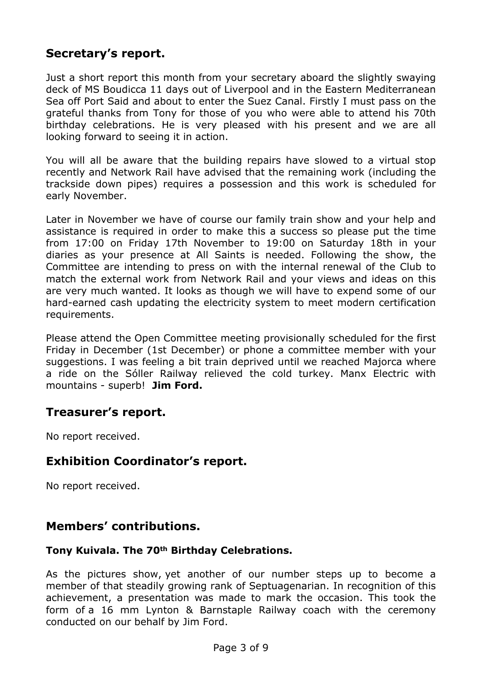# **Secretary's report.**

Just a short report this month from your secretary aboard the slightly swaying deck of MS Boudicca 11 days out of Liverpool and in the Eastern Mediterranean Sea off Port Said and about to enter the Suez Canal. Firstly I must pass on the grateful thanks from Tony for those of you who were able to attend his 70th birthday celebrations. He is very pleased with his present and we are all looking forward to seeing it in action.

You will all be aware that the building repairs have slowed to a virtual stop recently and Network Rail have advised that the remaining work (including the trackside down pipes) requires a possession and this work is scheduled for early November.

Later in November we have of course our family train show and your help and assistance is required in order to make this a success so please put the time from 17:00 on Friday 17th November to 19:00 on Saturday 18th in your diaries as your presence at All Saints is needed. Following the show, the Committee are intending to press on with the internal renewal of the Club to match the external work from Network Rail and your views and ideas on this are very much wanted. It looks as though we will have to expend some of our hard-earned cash updating the electricity system to meet modern certification requirements.

Please attend the Open Committee meeting provisionally scheduled for the first Friday in December (1st December) or phone a committee member with your suggestions. I was feeling a bit train deprived until we reached Majorca where a ride on the Sóller Railway relieved the cold turkey. Manx Electric with mountains - superb! **Jim Ford.**

## **Treasurer's report.**

No report received.

## **Exhibition Coordinator's report.**

No report received.

## **Members' contributions.**

## **Tony Kuivala. The 70th Birthday Celebrations.**

As the pictures show, yet another of our number steps up to become a member of that steadily growing rank of Septuagenarian. In recognition of this achievement, a presentation was made to mark the occasion. This took the form of a 16 mm Lynton & Barnstaple Railway coach with the ceremony conducted on our behalf by Jim Ford.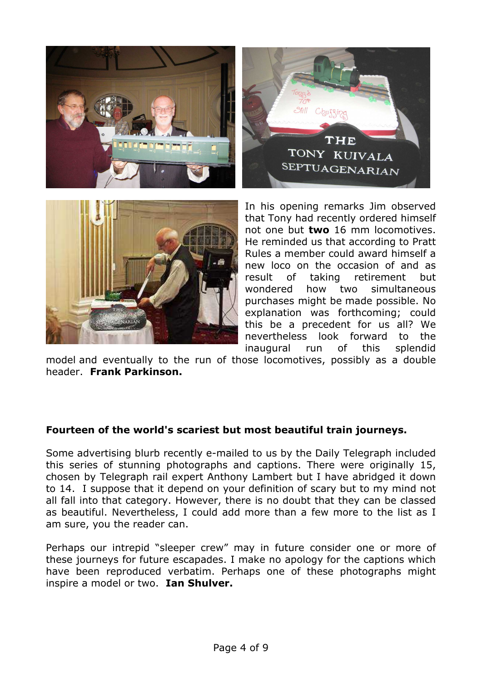



In his opening remarks Jim observed that Tony had recently ordered himself not one but **two** 16 mm locomotives. He reminded us that according to Pratt Rules a member could award himself a new loco on the occasion of and as result of taking retirement but wondered how two simultaneous purchases might be made possible. No explanation was forthcoming; could this be a precedent for us all? We nevertheless look forward to the inaugural run of this splendid

model and eventually to the run of those locomotives, possibly as a double header. **Frank Parkinson.**

#### **Fourteen of the world's scariest but most beautiful train journeys.**

Some advertising blurb recently e-mailed to us by the Daily Telegraph included this series of stunning photographs and captions. There were originally 15, chosen by Telegraph rail expert Anthony Lambert but I have abridged it down to 14. I suppose that it depend on your definition of scary but to my mind not all fall into that category. However, there is no doubt that they can be classed as beautiful. Nevertheless, I could add more than a few more to the list as I am sure, you the reader can.

Perhaps our intrepid "sleeper crew" may in future consider one or more of these journeys for future escapades. I make no apology for the captions which have been reproduced verbatim. Perhaps one of these photographs might inspire a model or two. **Ian Shulver.**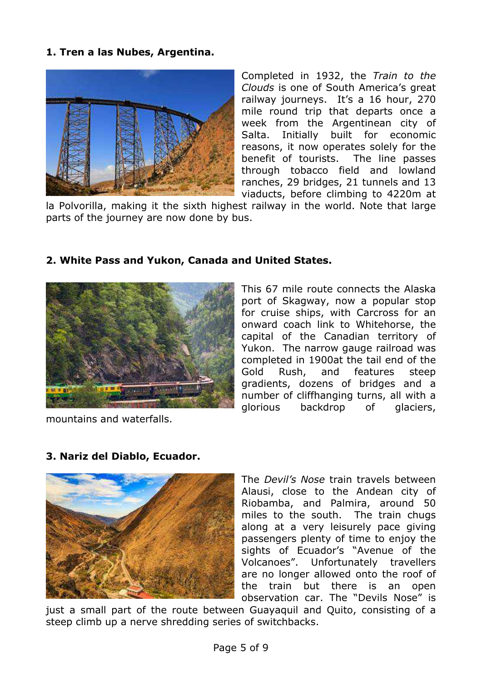#### **1. Tren a las Nubes, Argentina.**



Completed in 1932, the *Train to the Clouds* is one of South America's great railway journeys. It's a 16 hour, 270 mile round trip that departs once a week from the Argentinean city of Salta. Initially built for economic reasons, it now operates solely for the benefit of tourists. The line passes through tobacco field and lowland ranches, 29 bridges, 21 tunnels and 13 viaducts, before climbing to 4220m at

la Polvorilla, making it the sixth highest railway in the world. Note that large parts of the journey are now done by bus.



## **2. White Pass and Yukon, Canada and United States.**

mountains and waterfalls.

This 67 mile route connects the Alaska port of Skagway, now a popular stop for cruise ships, with Carcross for an onward coach link to Whitehorse, the capital of the Canadian territory of Yukon. The narrow gauge railroad was completed in 1900at the tail end of the Gold Rush, and features steep gradients, dozens of bridges and a number of cliffhanging turns, all with a glorious backdrop of glaciers,



## **3. Nariz del Diablo, Ecuador.**

The *Devil's Nose* train travels between Alausi, close to the Andean city of Riobamba, and Palmira, around 50 miles to the south. The train chugs along at a very leisurely pace giving passengers plenty of time to enjoy the sights of Ecuador's "Avenue of the Volcanoes". Unfortunately travellers are no longer allowed onto the roof of the train but there is an open observation car. The "Devils Nose" is

just a small part of the route between Guayaquil and Quito, consisting of a steep climb up a nerve shredding series of switchbacks.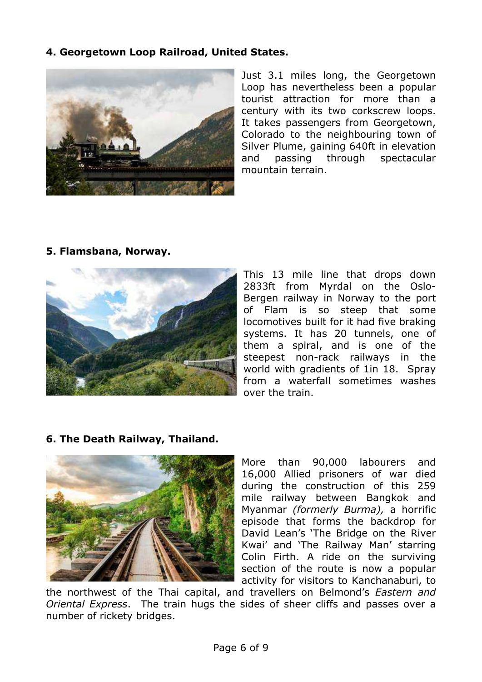#### **4. Georgetown Loop Railroad, United States.**



Just 3.1 miles long, the Georgetown Loop has nevertheless been a popular tourist attraction for more than a century with its two corkscrew loops. It takes passengers from Georgetown, Colorado to the neighbouring town of Silver Plume, gaining 640ft in elevation and passing through spectacular mountain terrain.

**5. Flamsbana, Norway.**



This 13 mile line that drops down 2833ft from Myrdal on the Oslo-Bergen railway in Norway to the port of Flam is so steep that some locomotives built for it had five braking systems. It has 20 tunnels, one of them a spiral, and is one of the steepest non-rack railways in the world with gradients of 1in 18. Spray from a waterfall sometimes washes over the train.

## **6. The Death Railway, Thailand.**



More than 90,000 labourers and 16,000 Allied prisoners of war died during the construction of this 259 mile railway between Bangkok and Myanmar *(formerly Burma),* a horrific episode that forms the backdrop for David Lean's 'The Bridge on the River Kwai' and 'The Railway Man' starring Colin Firth. A ride on the surviving section of the route is now a popular activity for visitors to Kanchanaburi, to

the northwest of the Thai capital, and travellers on Belmond's *Eastern and Oriental Express*. The train hugs the sides of sheer cliffs and passes over a number of rickety bridges.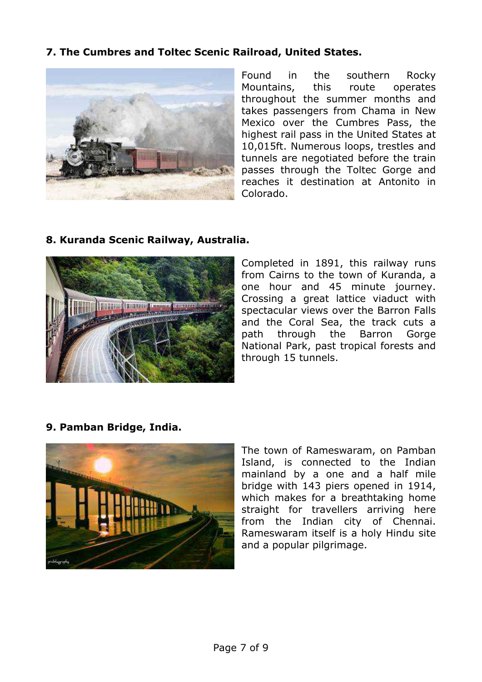## **7. The Cumbres and Toltec Scenic Railroad, United States.**



Found in the southern Rocky Mountains, this route operates throughout the summer months and takes passengers from Chama in New Mexico over the Cumbres Pass, the highest rail pass in the United States at 10,015ft. Numerous loops, trestles and tunnels are negotiated before the train passes through the Toltec Gorge and reaches it destination at Antonito in Colorado.

#### **8. Kuranda Scenic Railway, Australia.**



Completed in 1891, this railway runs from Cairns to the town of Kuranda, a one hour and 45 minute journey. Crossing a great lattice viaduct with spectacular views over the Barron Falls and the Coral Sea, the track cuts a path through the Barron Gorge National Park, past tropical forests and through 15 tunnels.

**9. Pamban Bridge, India.**



The town of Rameswaram, on Pamban Island, is connected to the Indian mainland by a one and a half mile bridge with 143 piers opened in 1914, which makes for a breathtaking home straight for travellers arriving here from the Indian city of Chennai. Rameswaram itself is a holy Hindu site and a popular pilgrimage.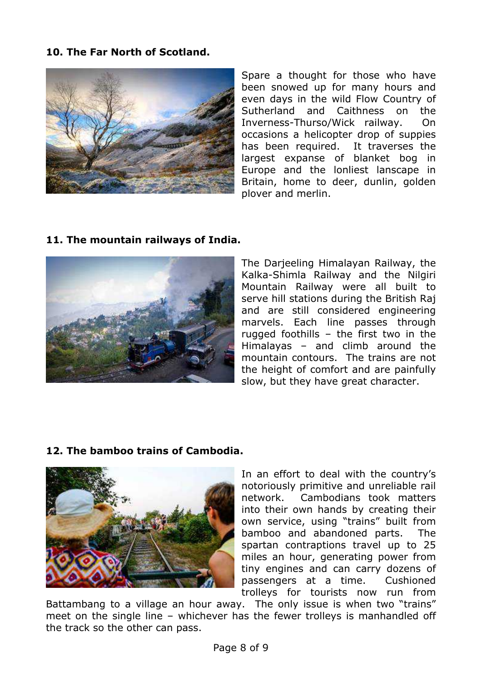## **10. The Far North of Scotland.**



Spare a thought for those who have been snowed up for many hours and even days in the wild Flow Country of Sutherland and Caithness on the Inverness-Thurso/Wick railway. On occasions a helicopter drop of suppies has been required. It traverses the largest expanse of blanket bog in Europe and the lonliest lanscape in Britain, home to deer, dunlin, golden plover and merlin.

## **11. The mountain railways of India.**



The Darjeeling Himalayan Railway, the Kalka-Shimla Railway and the Nilgiri Mountain Railway were all built to serve hill stations during the British Raj and are still considered engineering marvels. Each line passes through rugged foothills – the first two in the Himalayas – and climb around the mountain contours. The trains are not the height of comfort and are painfully slow, but they have great character.

## **12. The bamboo trains of Cambodia.**



In an effort to deal with the country's notoriously primitive and unreliable rail network. Cambodians took matters into their own hands by creating their own service, using "trains" built from bamboo and abandoned parts. The spartan contraptions travel up to 25 miles an hour, generating power from tiny engines and can carry dozens of passengers at a time. Cushioned trolleys for tourists now run from

Battambang to a village an hour away. The only issue is when two "trains" meet on the single line – whichever has the fewer trolleys is manhandled off the track so the other can pass.